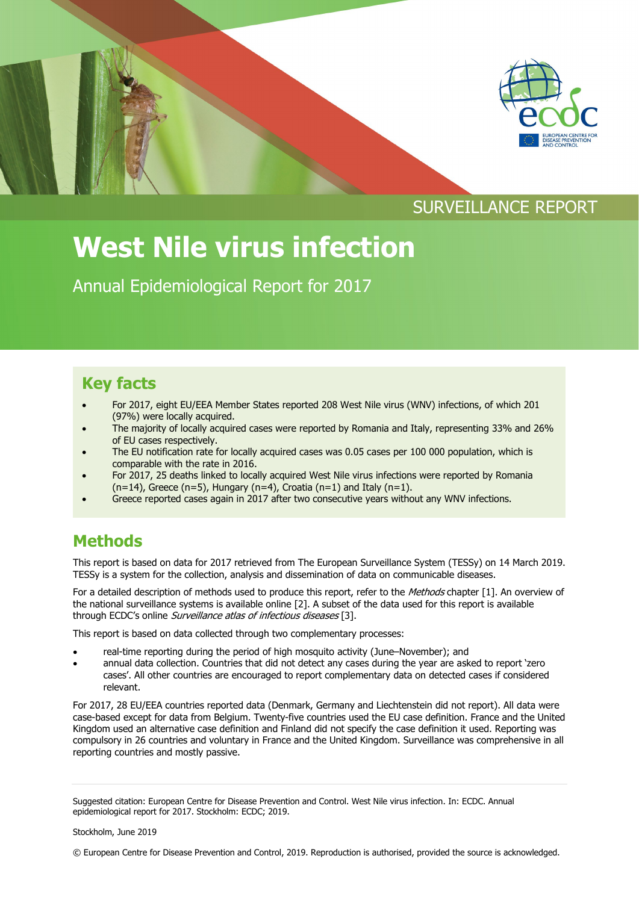



## SURVEILLANCE REPORT

# **West Nile virus infection**

Annual Epidemiological Report for 2017

### **Key facts**

- For 2017, eight EU/EEA Member States reported 208 West Nile virus (WNV) infections, of which 201 (97%) were locally acquired.
- The majority of locally acquired cases were reported by Romania and Italy, representing 33% and 26% of EU cases respectively.
- The EU notification rate for locally acquired cases was 0.05 cases per 100 000 population, which is comparable with the rate in 2016.
- For 2017, 25 deaths linked to locally acquired West Nile virus infections were reported by Romania  $(n=14)$ , Greece  $(n=5)$ , Hungary  $(n=4)$ , Croatia  $(n=1)$  and Italy  $(n=1)$ .
- Greece reported cases again in 2017 after two consecutive years without any WNV infections.

### **Methods**

This report is based on data for 2017 retrieved from The European Surveillance System (TESSy) on 14 March 2019. TESSy is a system for the collection, analysis and dissemination of data on communicable diseases.

For a detailed description of methods used to produce this report, refer to the Methods chapter [1]. An overview of the national surveillance systems is available online [2]. A subset of the data used for this report is available through ECDC's online *Surveillance atlas of infectious diseases* [3].

This report is based on data collected through two complementary processes:

- real-time reporting during the period of high mosquito activity (June–November); and
- annual data collection. Countries that did not detect any cases during the year are asked to report 'zero cases'. All other countries are encouraged to report complementary data on detected cases if considered relevant.

For 2017, 28 EU/EEA countries reported data (Denmark, Germany and Liechtenstein did not report). All data were case-based except for data from Belgium. Twenty-five countries used the EU case definition. France and the United Kingdom used an alternative case definition and Finland did not specify the case definition it used. Reporting was compulsory in 26 countries and voluntary in France and the United Kingdom. Surveillance was comprehensive in all reporting countries and mostly passive.

© European Centre for Disease Prevention and Control, 2019. Reproduction is authorised, provided the source is acknowledged.

Suggested citation: European Centre for Disease Prevention and Control. West Nile virus infection. In: ECDC. Annual epidemiological report for 2017. Stockholm: ECDC; 2019.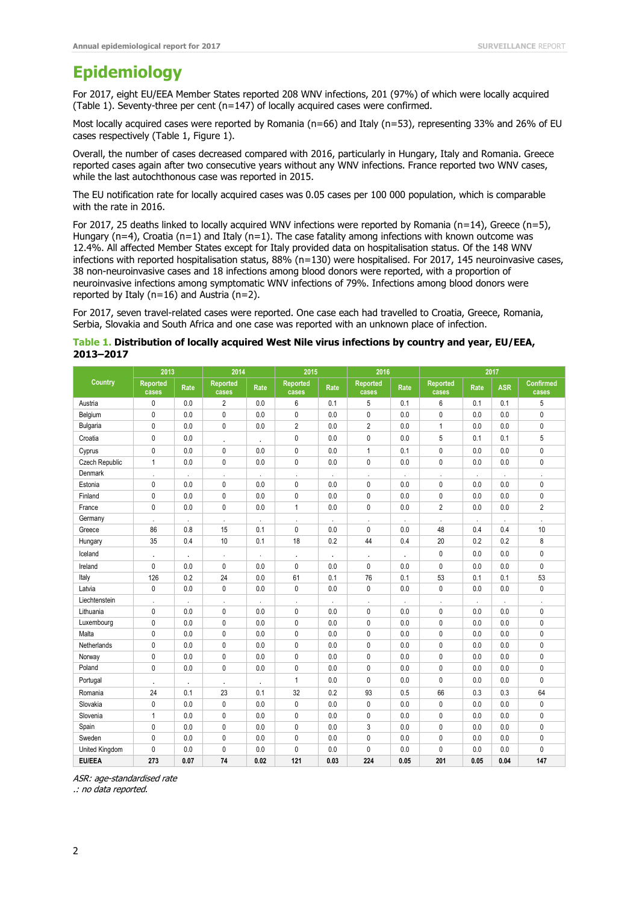#### **Epidemiology**

For 2017, eight EU/EEA Member States reported 208 WNV infections, 201 (97%) of which were locally acquired (Table 1). Seventy-three per cent (n=147) of locally acquired cases were confirmed.

Most locally acquired cases were reported by Romania (n=66) and Italy (n=53), representing 33% and 26% of EU cases respectively (Table 1, Figure 1).

Overall, the number of cases decreased compared with 2016, particularly in Hungary, Italy and Romania. Greece reported cases again after two consecutive years without any WNV infections. France reported two WNV cases, while the last autochthonous case was reported in 2015.

The EU notification rate for locally acquired cases was 0.05 cases per 100 000 population, which is comparable with the rate in 2016.

For 2017, 25 deaths linked to locally acquired WNV infections were reported by Romania (n=14), Greece (n=5), Hungary (n=4), Croatia (n=1) and Italy (n=1). The case fatality among infections with known outcome was 12.4%. All affected Member States except for Italy provided data on hospitalisation status. Of the 148 WNV infections with reported hospitalisation status,  $88\%$  (n=130) were hospitalised. For 2017, 145 neuroinvasive cases, 38 non-neuroinvasive cases and 18 infections among blood donors were reported, with a proportion of neuroinvasive infections among symptomatic WNV infections of 79%. Infections among blood donors were reported by Italy (n=16) and Austria (n=2).

For 2017, seven travel-related cases were reported. One case each had travelled to Croatia, Greece, Romania, Serbia, Slovakia and South Africa and one case was reported with an unknown place of infection.

#### **Table 1. Distribution of locally acquired West Nile virus infections by country and year, EU/EEA, 2013–2017**

| Country        | 2013                     |         | 2014                     |            | 2015                     |         | 2016                     |            | 2017                     |                      |            |                           |
|----------------|--------------------------|---------|--------------------------|------------|--------------------------|---------|--------------------------|------------|--------------------------|----------------------|------------|---------------------------|
|                | <b>Reported</b><br>cases | Rate    | <b>Reported</b><br>cases | Rate       | <b>Reported</b><br>cases | Rate    | <b>Reported</b><br>cases | Rate       | <b>Reported</b><br>cases | Rate                 | <b>ASR</b> | <b>Confirmed</b><br>cases |
| Austria        | 0                        | 0.0     | $\overline{2}$           | 0.0        | 6                        | 0.1     | 5                        | 0.1        | 6                        | 0.1                  | 0.1        | 5                         |
| Belgium        | 0                        | 0.0     | $\mathbf{0}$             | 0.0        | 0                        | 0.0     | $\mathbf{0}$             | 0.0        | $\mathbf 0$              | 0.0                  | 0.0        | $\mathbf{0}$              |
| Bulgaria       | $\mathbf{0}$             | 0.0     | 0                        | 0.0        | $\overline{2}$           | 0.0     | $\overline{2}$           | 0.0        | $\overline{1}$           | 0.0                  | 0.0        | 0                         |
| Croatia        | 0                        | 0.0     |                          | $\cdot$    | 0                        | 0.0     | 0                        | 0.0        | 5                        | 0.1                  | 0.1        | 5                         |
| Cyprus         | 0                        | 0.0     | 0                        | 0.0        | 0                        | 0.0     | $\mathbf{1}$             | 0.1        | 0                        | 0.0                  | 0.0        | 0                         |
| Czech Republic | 1                        | 0.0     | 0                        | 0.0        | 0                        | 0.0     | 0                        | 0.0        | 0                        | 0.0                  | 0.0        | 0                         |
| Denmark        | $\cdot$                  | $\cdot$ |                          | $\epsilon$ | $\cdot$                  | ×,      | ÷,                       |            | $\cdot$                  | $\mathbf{r}$         | $\cdot$    | ٠                         |
| Estonia        | 0                        | 0.0     | 0                        | 0.0        | 0                        | 0.0     | $\mathbf{0}$             | 0.0        | 0                        | 0.0                  | 0.0        | 0                         |
| Finland        | $\mathbf{0}$             | 0.0     | 0                        | 0.0        | $\mathbf{0}$             | 0.0     | $\mathbf{0}$             | 0.0        | $\mathbf 0$              | 0.0                  | 0.0        | 0                         |
| France         | 0                        | 0.0     | 0                        | 0.0        | 1                        | 0.0     | 0                        | 0.0        | $\overline{2}$           | 0.0                  | 0.0        | $\overline{2}$            |
| Germany        | $\cdot$                  | $\cdot$ |                          | $\epsilon$ | $\mathbf{r}$             | $\cdot$ | ×                        | $\epsilon$ | $\cdot$                  | $\ddot{\phantom{1}}$ | $\cdot$    | $\epsilon$                |
| Greece         | 86                       | 0.8     | 15                       | 0.1        | $\mathbf{0}$             | 0.0     | 0                        | 0.0        | 48                       | 0.4                  | 0.4        | 10                        |
| Hungary        | 35                       | 0.4     | 10                       | 0.1        | 18                       | 0.2     | 44                       | 0.4        | 20                       | 0.2                  | 0.2        | 8                         |
| Iceland        | $\cdot$                  | $\cdot$ | $\cdot$                  | $\epsilon$ | $\cdot$                  | $\cdot$ | $\cdot$                  | $\cdot$    | $\mathbf 0$              | 0.0                  | 0.0        | 0                         |
| Ireland        | 0                        | 0.0     | 0                        | 0.0        | $\mathbf{0}$             | 0.0     | $\mathbf{0}$             | 0.0        | 0                        | 0.0                  | 0.0        | 0                         |
| Italy          | 126                      | 0.2     | 24                       | 0.0        | 61                       | 0.1     | 76                       | 0.1        | 53                       | 0.1                  | 0.1        | 53                        |
| Latvia         | 0                        | 0.0     | 0                        | 0.0        | 0                        | 0.0     | 0                        | 0.0        | 0                        | 0.0                  | 0.0        | 0                         |
| Liechtenstein  |                          | ÷,      |                          | $\epsilon$ |                          | ÷,      |                          | à.         |                          | ÷.                   | $\cdot$    |                           |
| Lithuania      | 0                        | 0.0     | 0                        | 0.0        | 0                        | 0.0     | 0                        | 0.0        | 0                        | 0.0                  | 0.0        | 0                         |
| Luxembourg     | 0                        | 0.0     | 0                        | 0.0        | $\mathbf{0}$             | 0.0     | $\mathbf{0}$             | 0.0        | 0                        | 0.0                  | 0.0        | 0                         |
| Malta          | 0                        | 0.0     | 0                        | 0.0        | 0                        | 0.0     | $\mathbf{0}$             | 0.0        | $\mathbf{0}$             | 0.0                  | 0.0        | 0                         |
| Netherlands    | 0                        | 0.0     | 0                        | 0.0        | $\mathbf{0}$             | 0.0     | $\mathbf{0}$             | 0.0        | $\mathbf 0$              | 0.0                  | 0.0        | 0                         |
| Norway         | 0                        | 0.0     | 0                        | 0.0        | $\mathbf{0}$             | 0.0     | $\mathbf{0}$             | 0.0        | $\mathbf 0$              | 0.0                  | 0.0        | 0                         |
| Poland         | 0                        | 0.0     | 0                        | 0.0        | $\mathbf{0}$             | 0.0     | $\mathbf{0}$             | 0.0        | $\mathbf 0$              | 0.0                  | 0.0        | 0                         |
| Portugal       | $\cdot$                  | $\cdot$ | $\cdot$                  | $\cdot$    | 1                        | 0.0     | $\mathbf 0$              | 0.0        | $\mathbf 0$              | 0.0                  | 0.0        | 0                         |
| Romania        | 24                       | 0.1     | 23                       | 0.1        | 32                       | 0.2     | 93                       | 0.5        | 66                       | 0.3                  | 0.3        | 64                        |
| Slovakia       | 0                        | 0.0     | 0                        | 0.0        | 0                        | 0.0     | 0                        | 0.0        | $\mathbf 0$              | 0.0                  | 0.0        | 0                         |
| Slovenia       | 1                        | 0.0     | 0                        | 0.0        | 0                        | 0.0     | $\mathbf{0}$             | 0.0        | 0                        | 0.0                  | 0.0        | 0                         |
| Spain          | 0                        | 0.0     | 0                        | 0.0        | 0                        | 0.0     | 3                        | 0.0        | 0                        | 0.0                  | 0.0        | 0                         |
| Sweden         | 0                        | 0.0     | 0                        | 0.0        | 0                        | 0.0     | $\mathbf{0}$             | 0.0        | 0                        | 0.0                  | 0.0        | 0                         |
| United Kingdom | 0                        | 0.0     | 0                        | 0.0        | 0                        | 0.0     | $\mathbf{0}$             | 0.0        | 0                        | 0.0                  | 0.0        | 0                         |
| <b>EU/EEA</b>  | 273                      | 0.07    | 74                       | 0.02       | 121                      | 0.03    | 224                      | 0.05       | 201                      | 0.05                 | 0.04       | 147                       |

ASR: age-standardised rate

.: no data reported.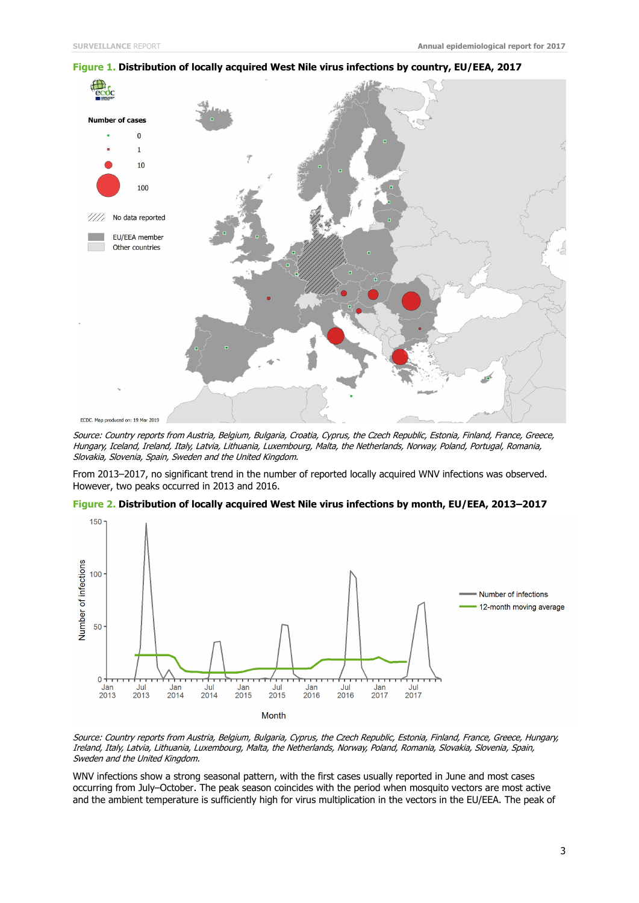

**Figure 1. Distribution of locally acquired West Nile virus infections by country, EU/EEA, 2017**

Source: Country reports from Austria, Belgium, Bulgaria, Croatia, Cyprus, the Czech Republic, Estonia, Finland, France, Greece, Hungary, Iceland, Ireland, Italy, Latvia, Lithuania, Luxembourg, Malta, the Netherlands, Norway, Poland, Portugal, Romania, Slovakia, Slovenia, Spain, Sweden and the United Kingdom.

From 2013–2017, no significant trend in the number of reported locally acquired WNV infections was observed. However, two peaks occurred in 2013 and 2016.



**Figure 2. Distribution of locally acquired West Nile virus infections by month, EU/EEA, 2013–2017**

Source: Country reports from Austria, Belgium, Bulgaria, Cyprus, the Czech Republic, Estonia, Finland, France, Greece, Hungary, Ireland, Italy, Latvia, Lithuania, Luxembourg, Malta, the Netherlands, Norway, Poland, Romania, Slovakia, Slovenia, Spain, Sweden and the United Kingdom.

WNV infections show a strong seasonal pattern, with the first cases usually reported in June and most cases occurring from July–October. The peak season coincides with the period when mosquito vectors are most active and the ambient temperature is sufficiently high for virus multiplication in the vectors in the EU/EEA. The peak of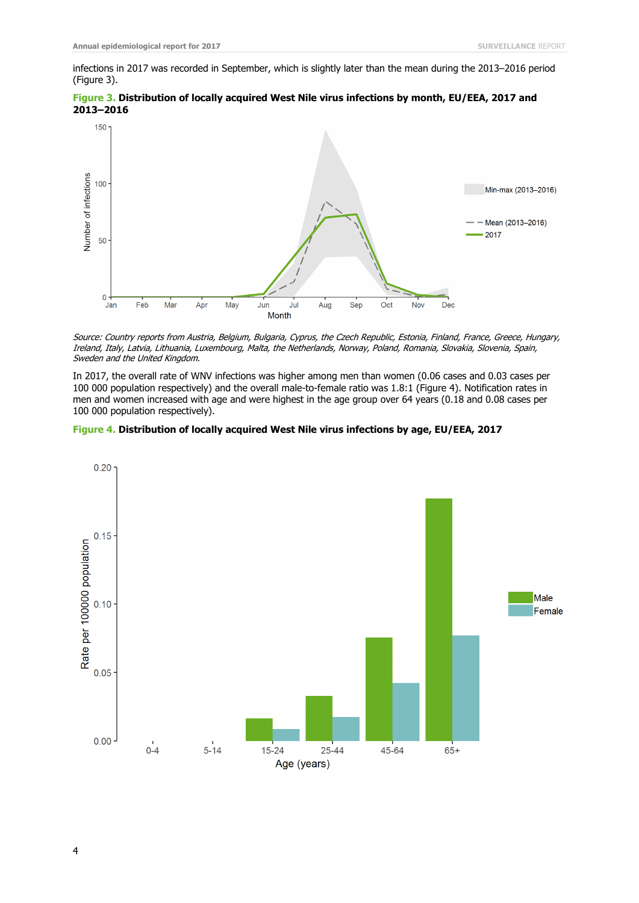50

 $\overline{0}$ 

Jan

 $Feb$ 

Mar

May

Jun

Apr

Mean (2013-2016)

 $-2017$ 

infections in 2017 was recorded in September, which is slightly later than the mean during the 2013–2016 period (Figure 3).





Source: Country reports from Austria, Belgium, Bulgaria, Cyprus, the Czech Republic, Estonia, Finland, France, Greece, Hungary, Ireland, Italy, Latvia, Lithuania, Luxembourg, Malta, the Netherlands, Norway, Poland, Romania, Slovakia, Slovenia, Spain, Sweden and the United Kingdom.

Aug

Sep

Oct

**Nov** 

Dec

In 2017, the overall rate of WNV infections was higher among men than women (0.06 cases and 0.03 cases per 100 000 population respectively) and the overall male-to-female ratio was 1.8:1 (Figure 4). Notification rates in men and women increased with age and were highest in the age group over 64 years (0.18 and 0.08 cases per 100 000 population respectively).



Jul Month

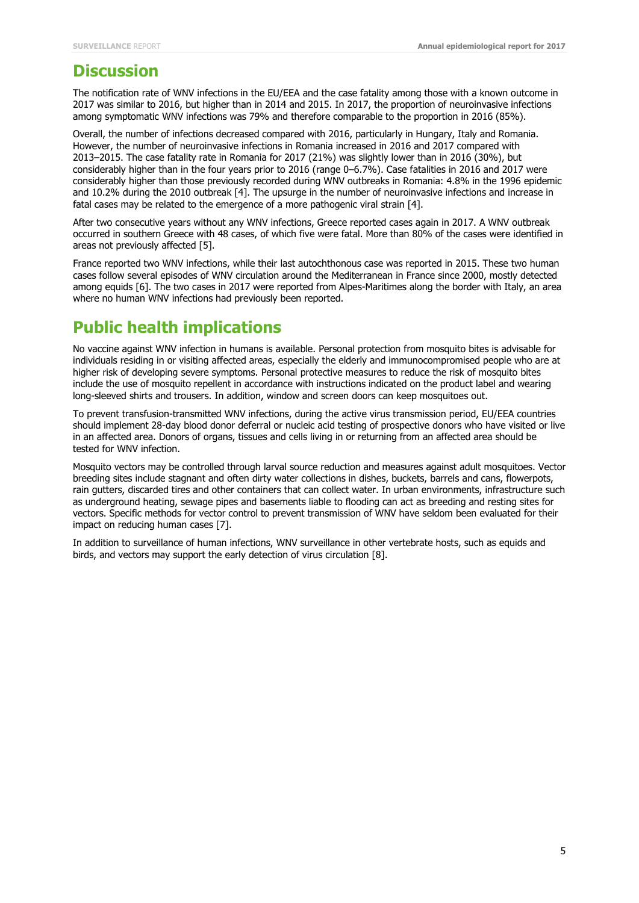#### **Discussion**

The notification rate of WNV infections in the EU/EEA and the case fatality among those with a known outcome in 2017 was similar to 2016, but higher than in 2014 and 2015. In 2017, the proportion of neuroinvasive infections among symptomatic WNV infections was 79% and therefore comparable to the proportion in 2016 (85%).

Overall, the number of infections decreased compared with 2016, particularly in Hungary, Italy and Romania. However, the number of neuroinvasive infections in Romania increased in 2016 and 2017 compared with 2013–2015. The case fatality rate in Romania for 2017 (21%) was slightly lower than in 2016 (30%), but considerably higher than in the four years prior to 2016 (range 0–6.7%). Case fatalities in 2016 and 2017 were considerably higher than those previously recorded during WNV outbreaks in Romania: 4.8% in the 1996 epidemic and 10.2% during the 2010 outbreak [4]. The upsurge in the number of neuroinvasive infections and increase in fatal cases may be related to the emergence of a more pathogenic viral strain [4].

After two consecutive years without any WNV infections, Greece reported cases again in 2017. A WNV outbreak occurred in southern Greece with 48 cases, of which five were fatal. More than 80% of the cases were identified in areas not previously affected [5].

France reported two WNV infections, while their last autochthonous case was reported in 2015. These two human cases follow several episodes of WNV circulation around the Mediterranean in France since 2000, mostly detected among equids [6]. The two cases in 2017 were reported from Alpes-Maritimes along the border with Italy, an area where no human WNV infections had previously been reported.

### **Public health implications**

No vaccine against WNV infection in humans is available. Personal protection from mosquito bites is advisable for individuals residing in or visiting affected areas, especially the elderly and immunocompromised people who are at higher risk of developing severe symptoms. Personal protective measures to reduce the risk of mosquito bites include the use of mosquito repellent in accordance with instructions indicated on the product label and wearing long-sleeved shirts and trousers. In addition, window and screen doors can keep mosquitoes out.

To prevent transfusion-transmitted WNV infections, during the active virus transmission period, EU/EEA countries should implement 28-day blood donor deferral or nucleic acid testing of prospective donors who have visited or live in an affected area. Donors of organs, tissues and cells living in or returning from an affected area should be tested for WNV infection.

Mosquito vectors may be controlled through larval source reduction and measures against adult mosquitoes. Vector breeding sites include stagnant and often dirty water collections in dishes, buckets, barrels and cans, flowerpots, rain gutters, discarded tires and other containers that can collect water. In urban environments, infrastructure such as underground heating, sewage pipes and basements liable to flooding can act as breeding and resting sites for vectors. Specific methods for vector control to prevent transmission of WNV have seldom been evaluated for their impact on reducing human cases [7].

In addition to surveillance of human infections, WNV surveillance in other vertebrate hosts, such as equids and birds, and vectors may support the early detection of virus circulation [8].